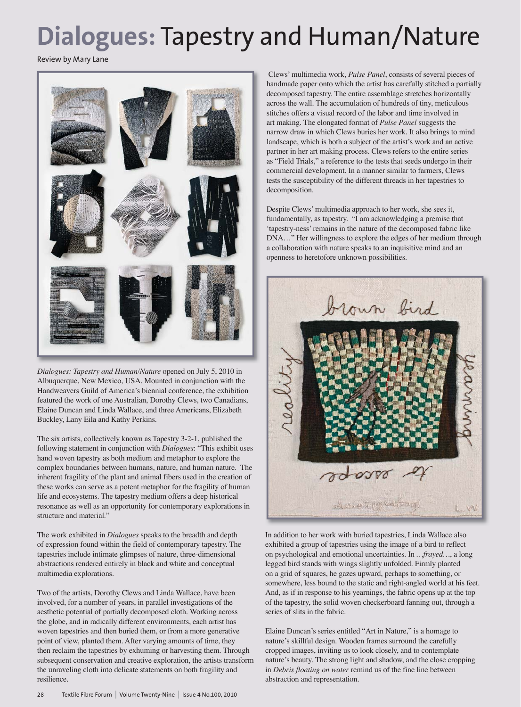## **Dialogues:** Tapestry and Human/Nature

Review by Mary Lane



*Dialogues: Tapestry and Human/Nature* opened on July 5, 2010 in Albuquerque, New Mexico, USA. Mounted in conjunction with the Handweavers Guild of America's biennial conference, the exhibition featured the work of one Australian, Dorothy Clews, two Canadians, Elaine Duncan and Linda Wallace, and three Americans, Elizabeth Buckley, Lany Eila and Kathy Perkins.

The six artists, collectively known as Tapestry 3-2-1, published the following statement in conjunction with *Dialogues*: "This exhibit uses hand woven tapestry as both medium and metaphor to explore the complex boundaries between humans, nature, and human nature. The inherent fragility of the plant and animal fibers used in the creation of these works can serve as a potent metaphor for the fragility of human life and ecosystems. The tapestry medium offers a deep historical resonance as well as an opportunity for contemporary explorations in structure and material."

The work exhibited in *Dialogues* speaks to the breadth and depth of expression found within the field of contemporary tapestry. The tapestries include intimate glimpses of nature, three-dimensional abstractions rendered entirely in black and white and conceptual multimedia explorations.

Two of the artists, Dorothy Clews and Linda Wallace, have been involved, for a number of years, in parallel investigations of the aesthetic potential of partially decomposed cloth. Working across the globe, and in radically different environments, each artist has woven tapestries and then buried them, or from a more generative point of view, planted them. After varying amounts of time, they then reclaim the tapestries by exhuming or harvesting them. Through subsequent conservation and creative exploration, the artists transform the unraveling cloth into delicate statements on both fragility and resilience.

 Clews' multimedia work, *Pulse Panel*, consists of several pieces of handmade paper onto which the artist has carefully stitched a partially decomposed tapestry. The entire assemblage stretches horizontally across the wall. The accumulation of hundreds of tiny, meticulous stitches offers a visual record of the labor and time involved in art making. The elongated format of *Pulse Panel* suggests the narrow draw in which Clews buries her work. It also brings to mind landscape, which is both a subject of the artist's work and an active partner in her art making process. Clews refers to the entire series as "Field Trials," a reference to the tests that seeds undergo in their commercial development. In a manner similar to farmers, Clews tests the susceptibility of the different threads in her tapestries to decomposition.

Despite Clews' multimedia approach to her work, she sees it, fundamentally, as tapestry. "I am acknowledging a premise that 'tapestry-ness' remains in the nature of the decomposed fabric like DNA…" Her willingness to explore the edges of her medium through a collaboration with nature speaks to an inquisitive mind and an openness to heretofore unknown possibilities.



In addition to her work with buried tapestries, Linda Wallace also exhibited a group of tapestries using the image of a bird to reflect on psychological and emotional uncertainties. In *…frayed…*, a long legged bird stands with wings slightly unfolded. Firmly planted on a grid of squares, he gazes upward, perhaps to something, or somewhere, less bound to the static and right-angled world at his feet. And, as if in response to his yearnings, the fabric opens up at the top of the tapestry, the solid woven checkerboard fanning out, through a series of slits in the fabric.

Elaine Duncan's series entitled "Art in Nature," is a homage to nature's skillful design. Wooden frames surround the carefully cropped images, inviting us to look closely, and to contemplate nature's beauty. The strong light and shadow, and the close cropping in *Debris floating on water* remind us of the fine line between abstraction and representation.